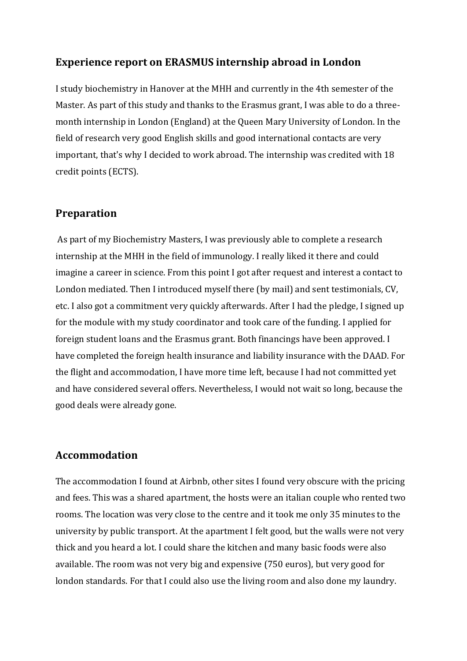## **Experience report on ERASMUS internship abroad in London**

I study biochemistry in Hanover at the MHH and currently in the 4th semester of the Master. As part of this study and thanks to the Erasmus grant, I was able to do a threemonth internship in London (England) at the Queen Mary University of London. In the field of research very good English skills and good international contacts are very important, that's why I decided to work abroad. The internship was credited with 18 credit points (ECTS).

### **Preparation**

As part of my Biochemistry Masters, I was previously able to complete a research internship at the MHH in the field of immunology. I really liked it there and could imagine a career in science. From this point I got after request and interest a contact to London mediated. Then I introduced myself there (by mail) and sent testimonials, CV, etc. I also got a commitment very quickly afterwards. After I had the pledge, I signed up for the module with my study coordinator and took care of the funding. I applied for foreign student loans and the Erasmus grant. Both financings have been approved. I have completed the foreign health insurance and liability insurance with the DAAD. For the flight and accommodation, I have more time left, because I had not committed yet and have considered several offers. Nevertheless, I would not wait so long, because the good deals were already gone.

#### **Accommodation**

The accommodation I found at Airbnb, other sites I found very obscure with the pricing and fees. This was a shared apartment, the hosts were an italian couple who rented two rooms. The location was very close to the centre and it took me only 35 minutes to the university by public transport. At the apartment I felt good, but the walls were not very thick and you heard a lot. I could share the kitchen and many basic foods were also available. The room was not very big and expensive (750 euros), but very good for london standards. For that I could also use the living room and also done my laundry.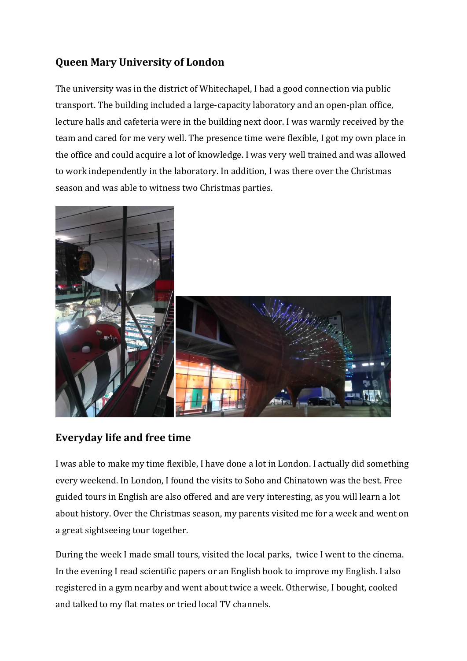# **Queen Mary University of London**

The university was in the district of Whitechapel, I had a good connection via public transport. The building included a large-capacity laboratory and an open-plan office, lecture halls and cafeteria were in the building next door. I was warmly received by the team and cared for me very well. The presence time were flexible, I got my own place in the office and could acquire a lot of knowledge. I was very well trained and was allowed to work independently in the laboratory. In addition, I was there over the Christmas season and was able to witness two Christmas parties.



# **Everyday life and free time**

I was able to make my time flexible, I have done a lot in London. I actually did something every weekend. In London, I found the visits to Soho and Chinatown was the best. Free guided tours in English are also offered and are very interesting, as you will learn a lot about history. Over the Christmas season, my parents visited me for a week and went on a great sightseeing tour together.

During the week I made small tours, visited the local parks, twice I went to the cinema. In the evening I read scientific papers or an English book to improve my English. I also registered in a gym nearby and went about twice a week. Otherwise, I bought, cooked and talked to my flat mates or tried local TV channels.